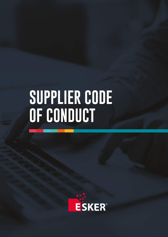# **SUPPLIER CODE OF CONDUCT**

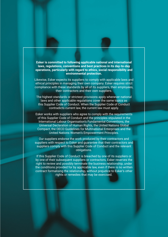**Esker is committed to following applicable national and international laws, regulations, conventions and best practices in its day-to-day operations, particularly with regard to ethics, social responsibility and environmental protection.** 

Likewise, Esker expects its suppliers to comply with applicable laws and ethical principles in managing their own company. Esker requires strict compliance with these standards by all of its suppliers, their employees, their contractors and their own suppliers.

The highest standards or strictest provisions apply whenever national laws and other applicable regulations cover the same topics as this Supplier Code of Conduct. When the Supplier Code of Conduct contradicts current law, the current law must apply.

Esker works with suppliers who agree to comply with the requirements of this Supplier Code of Conduct and the principles stipulated in the International Labour Organisation's Fundamental Conventions, the Universal Declaration of Human Rights, the United Nations Global Compact, the OECD Guidelines for Multinational Enterprises and the United Nations Women's Empowerment Principles.

Our suppliers endorse the work produced by their contractors and suppliers with respect to Esker and guarantee that their contractors and suppliers comply with this Supplier Code of Conduct and the relevant obligations.

If this Supplier Code of Conduct is breached by one of its suppliers or by one of their subsequent suppliers or contractors, Esker reserves the right to review and possibly terminate the business relationship, under the conditions provided for by applicable law, even if there is no written contract formalising the relationship, without prejudice to Esker's other rights or remedies that may be exercised.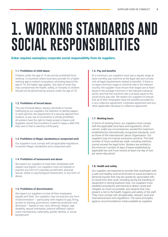### **1. WORKING STANDARDS AND SOCIAL RESPONSIBILITIES**

**Esker requires exemplary corporate social responsibility from its suppliers.** 

### **1.1. Prohibition of child labour**

Children under the age of 16 are strictly prohibited from working. In countries where local laws provide for a higher working age or extend compulsory schooling beyond the age of 16, the higher age applies. Any type of work that may compromise the health, safety, or morality of children should not be performed by anyone under the age of 18.

### **1.2. Prohibition of forced labour**

The use of forced labour, slavery, servitude or human trafficking by our suppliers, the retention of identity papers or work permits, the requirement of a security deposit from workers, or any use of constraints is strictly prohibited. All workers have the right to freely accept or leave a job. Suppliers cannot force workers to work to repay a debt that they owe or that is owed by a third party.

### **1.3. Prohibition of illegal, clandestine,or unreported work**

Our suppliers must comply with all applicable regulations to prevent illegal, clandestine and unreported work.

### **1.4. Prohibition of harassment and abuse**

We expect our suppliers to treat their employees with respect and dignity. Our suppliers must not tolerate or practice any form of corporate punishment, physical, sexual, verbal or psychological harassment, or any form of abuse.

### **1.5. Prohibition of discrimination**

We expect our suppliers to treat all their employees equally and fairly. Our suppliers may not practice any form of discrimination  $-$  particularly with respect to pay, hiring, access to training, promotions, maternity protection and dismissal — based on sex, race, ethnicity, religion, age, disability, sexual orientation, political affiliation, labour union membership, nationality, gender identity, or social background.

### **1.6. Pay and benefits**

At a minimum, our suppliers must pay a regular wage at least monthly, pay overtime at the legal rate and comply with all legal requirements related to benefits. If there is no legal minimum wage or overtime rate in the relevant country, the supplier must ensure that wages are at least equal to the average minimum in the relevant industrial sector and that the overtime rate is at least equal to the usual hourly pay rate. We expect our suppliers to ensure that all of their employees have the benefits provided for in any collective agreement, corporate agreement and any other applicable individual or collective agreement.

### **1.7. Working hours**

In terms of working hours, our suppliers must comply with the applicable local laws and regulations, which cannot, under any circumstances, exceed the maximum established by internationally recognised standards, such as those of the International Labour Organisation. Our suppliers may not impose excessive overtime. The total number of hours worked per week, including overtime, cannot exceed the legal limits. Workers are entitled to the minimum number of days of leave established by applicable law and must receive at least one day of rest per seven-day period.

### **1.8. Health and safety**

Our suppliers are expected to provide their employees with a safe and healthy work environment to avoid accidents or personal injuries that may be caused by, associated with, or result from their work, including during the handling of equipment or during business trips. Our suppliers must establish procedures and training to detect, avoid and mitigate, as much as possible, any hazards that may present a risk to the health, hygiene and safety of the staff. They must comply with all applicable, relevant, local and international laws and regulations. The same principles apply to accommodations made available by suppliers.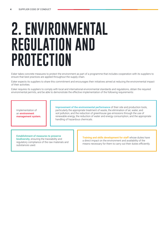### **2. ENVIRONMENTAL REGULATION AND PROTECTION**

Esker takes concrete measures to protect the environment as part of a programme that includes cooperation with its suppliers to ensure that best practices are applied throughout the supply chain.

Esker expects its suppliers to share this commitment and encourages their initiatives aimed at reducing the environmental impact of their activities.

Esker requires its suppliers to comply with local and international environmental standards and regulations, obtain the required environmental permits, and be able to demonstrate the effective implementation of the following requirements:

Implementation of an **environment management system.** **Improvement of the environmental performance** of their site and production tools, particularly the appropriate treatment of waste, the elimination of air, water, and soil pollution, and the reduction of greenhouse gas emissions through the use of renewable energy, the reduction of water and energy consumption, and the appropriate handling of hazardous chemicals.

**Establishment of measures to preserve biodiversity**, ensuring the traceability and

regulatory compliance of the raw materials and substances used.

**Training and skills development for staff** whose duties have a direct impact on the environment and availability of the means necessary for them to carry out their duties efficiently.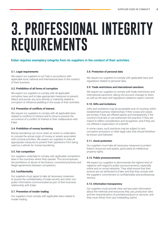## **3. PROFESSIONAL INTEGRITY REQUIREMENTS**

### **Esker requires exemplary integrity from its suppliers in the conduct of their activities.**

### **3.1. Legal requirements**

We expect our suppliers to act fully in accordance with applicable local, national and international laws in the conduct of their business.

### **3.2. Prohibition of all forms of corruption**

We expect our suppliers to comply with all applicable corruption laws and to take appropriate measures to prevent, detect and punish any acts directly or indirectly related to corruption or influence peddling in the scope of their activities.

### **3.3. Prevention of conflicts of interest**

We require our suppliers to comply with all applicable laws related to conflicts of interest and to strive to prevent the occurrence of a conflict of interest in their collaboration with Esker.

### **3.4. Prohibition of money laundering**

Money laundering can occur when an action is undertaken to conceal the actual origin of money or assets associated with criminal activities. We expect our suppliers to take all appropriate measures to prevent their operations from being used as a vehicle for money laundering.

### **3.5. Fair competition**

Our suppliers undertake to comply with applicable competition laws in the countries where they operate. This encompasses the prohibition of abuse of dominance, concerted practices and illegal agreements between competitors.

### **3.6. Confidentiality**

Our suppliers must agree to take all necessary measures to ensure the confidentiality of trade secrets and other nonpublic information communicated as part of their business relationship with Esker.

### **3.7. Prevention of insider trading**

Our suppliers must comply with applicable laws related to insider trading.

### **3.8. Protection of personal data**

We require our suppliers to comply with applicable laws and regulations related to personal data.

### **3.9. Trade restrictions and international sanctions**

We require our suppliers to comply with trade restrictions and international sanctions, taking into account changes to them, as well as the laws and regulations related to export controls.

### **3.10. Gifts and invitations**

Gifts and invitations may be acceptable acts of courtesy within established business relationships if their scope and values are limited, if they are offered openly and transparently, if the country's local law or use authorises this practice, if they are meant to reflect consideration and recognition, and if they are not offered in expectation of a benefit.

In some cases, such practices may be subject to anticorruption provisions or other legal rules that should therefore be known and followed.

### **3.11. Asset protection**

Our suppliers must take all necessary measures to protect Esker's resources and assets, particularly its intellectual property rights.

### **3.12. Public pronouncements**

We expect our suppliers to demonstrate the highest level of vigilance with regard to public pronouncements, especially online and on social networks. They shall ensure that their actions are not attributed to Esker and that they comply with the supplier's commitment to confidentiality and professional secrecy.

### **3.13. Information transparency**

Our suppliers must provide clear and accurate information about the methods and resources they use, production sites and the characteristics of provided products or services, and they must refrain from any misleading claims.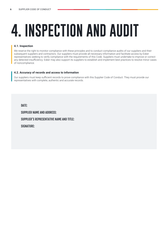# **4. INSPECTION AND AUDIT**

### **4.1. Inspection**

We reserve the right to monitor compliance with these principles and to conduct compliance audits of our suppliers and their subsequent suppliers and contractors. Our suppliers must provide all necessary information and facilitate access by Esker representatives seeking to verify compliance with the requirements of this Code. Suppliers must undertake to improve or correct any detected insufficiency. Esker may also support its suppliers to establish and implement best practices to resolve minor cases of noncompliance.

### **4.2. Accuracy of records and access to information**

Our suppliers must keep sufficient records to prove compliance with this Supplier Code of Conduct. They must provide our representatives with complete, authentic and accurate records.

DATE: SUPPLIER NAME AND ADDRESS: SUPPLIER'S REPRESENTATIVE NAME AND TITLE: SIGNATURE: